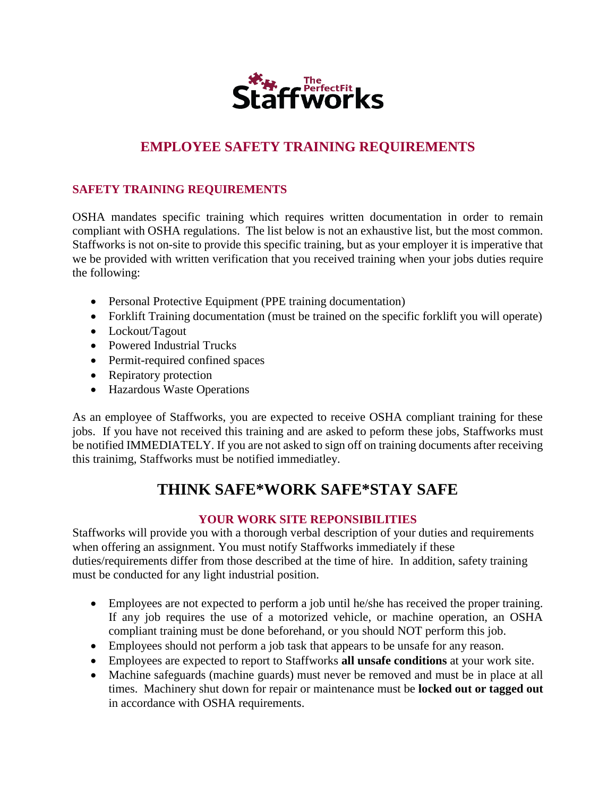

## **EMPLOYEE SAFETY TRAINING REQUIREMENTS**

### **SAFETY TRAINING REQUIREMENTS**

OSHA mandates specific training which requires written documentation in order to remain compliant with OSHA regulations. The list below is not an exhaustive list, but the most common. Staffworks is not on-site to provide this specific training, but as your employer it is imperative that we be provided with written verification that you received training when your jobs duties require the following:

- Personal Protective Equipment (PPE training documentation)
- Forklift Training documentation (must be trained on the specific forklift you will operate)
- Lockout/Tagout
- Powered Industrial Trucks
- Permit-required confined spaces
- Repiratory protection
- Hazardous Waste Operations

As an employee of Staffworks, you are expected to receive OSHA compliant training for these jobs. If you have not received this training and are asked to peform these jobs, Staffworks must be notified IMMEDIATELY. If you are not asked to sign off on training documents after receiving this trainimg, Staffworks must be notified immediatley.

# **THINK SAFE\*WORK SAFE\*STAY SAFE**

#### **YOUR WORK SITE REPONSIBILITIES**

Staffworks will provide you with a thorough verbal description of your duties and requirements when offering an assignment. You must notify Staffworks immediately if these duties/requirements differ from those described at the time of hire. In addition, safety training must be conducted for any light industrial position.

- Employees are not expected to perform a job until he/she has received the proper training. If any job requires the use of a motorized vehicle, or machine operation, an OSHA compliant training must be done beforehand, or you should NOT perform this job.
- Employees should not perform a job task that appears to be unsafe for any reason.
- Employees are expected to report to Staffworks **all unsafe conditions** at your work site.
- Machine safeguards (machine guards) must never be removed and must be in place at all times. Machinery shut down for repair or maintenance must be **locked out or tagged out** in accordance with OSHA requirements.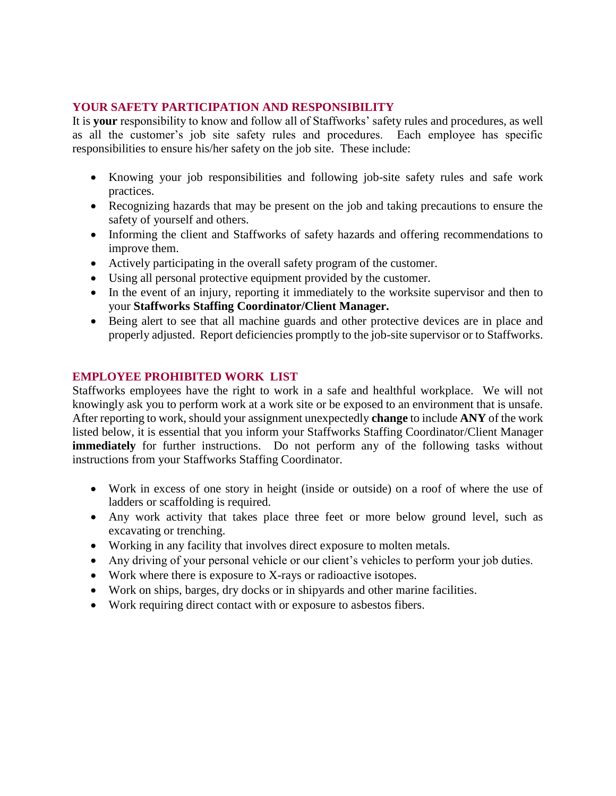#### **YOUR SAFETY PARTICIPATION AND RESPONSIBILITY**

It is **your** responsibility to know and follow all of Staffworks' safety rules and procedures, as well as all the customer's job site safety rules and procedures. Each employee has specific responsibilities to ensure his/her safety on the job site. These include:

- Knowing your job responsibilities and following job-site safety rules and safe work practices.
- Recognizing hazards that may be present on the job and taking precautions to ensure the safety of yourself and others.
- Informing the client and Staffworks of safety hazards and offering recommendations to improve them.
- Actively participating in the overall safety program of the customer.
- Using all personal protective equipment provided by the customer.
- In the event of an injury, reporting it immediately to the worksite supervisor and then to your **Staffworks Staffing Coordinator/Client Manager.**
- Being alert to see that all machine guards and other protective devices are in place and properly adjusted. Report deficiencies promptly to the job-site supervisor or to Staffworks.

#### **EMPLOYEE PROHIBITED WORK LIST**

Staffworks employees have the right to work in a safe and healthful workplace. We will not knowingly ask you to perform work at a work site or be exposed to an environment that is unsafe. After reporting to work, should your assignment unexpectedly **change** to include **ANY** of the work listed below, it is essential that you inform your Staffworks Staffing Coordinator/Client Manager **immediately** for further instructions. Do not perform any of the following tasks without instructions from your Staffworks Staffing Coordinator.

- Work in excess of one story in height (inside or outside) on a roof of where the use of ladders or scaffolding is required.
- Any work activity that takes place three feet or more below ground level, such as excavating or trenching.
- Working in any facility that involves direct exposure to molten metals.
- Any driving of your personal vehicle or our client's vehicles to perform your job duties.
- Work where there is exposure to X-rays or radioactive isotopes.
- Work on ships, barges, dry docks or in shipyards and other marine facilities.
- Work requiring direct contact with or exposure to asbestos fibers.